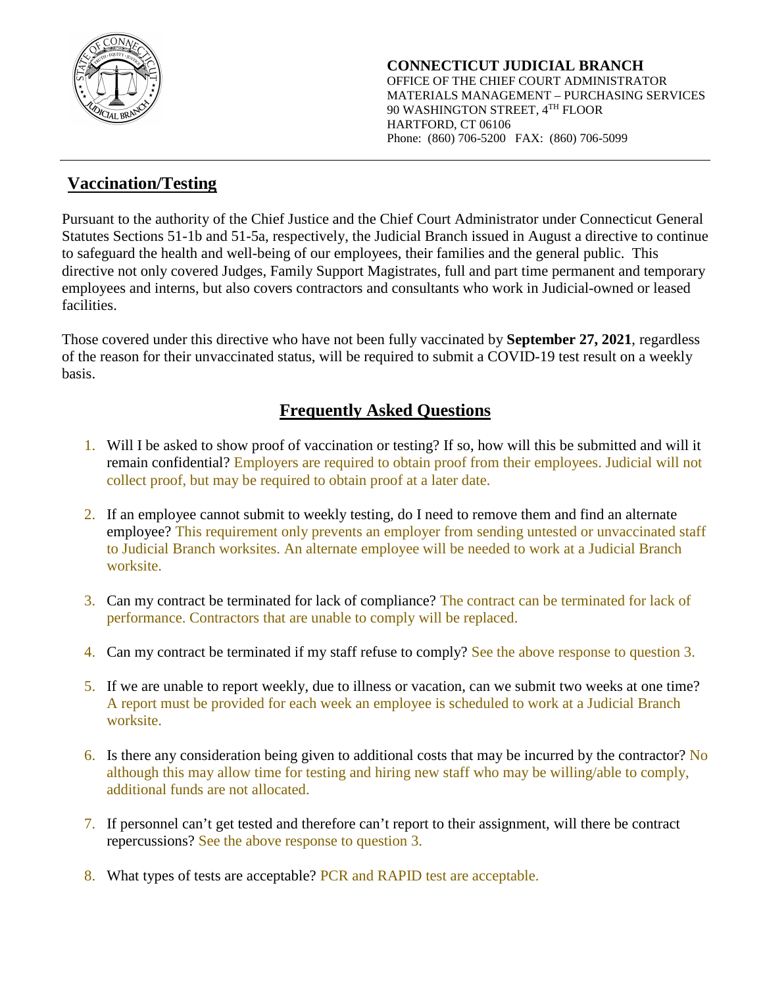

## **Vaccination/Testing**

Pursuant to the authority of the Chief Justice and the Chief Court Administrator under Connecticut General Statutes Sections 51-1b and 51-5a, respectively, the Judicial Branch issued in August a directive to continue to safeguard the health and well-being of our employees, their families and the general public. This directive not only covered Judges, Family Support Magistrates, full and part time permanent and temporary employees and interns, but also covers contractors and consultants who work in Judicial-owned or leased facilities.

Those covered under this directive who have not been fully vaccinated by **September 27, 2021**, regardless of the reason for their unvaccinated status, will be required to submit a COVID-19 test result on a weekly basis.

## **Frequently Asked Questions**

- 1. Will I be asked to show proof of vaccination or testing? If so, how will this be submitted and will it remain confidential? Employers are required to obtain proof from their employees. Judicial will not collect proof, but may be required to obtain proof at a later date.
- 2. If an employee cannot submit to weekly testing, do I need to remove them and find an alternate employee? This requirement only prevents an employer from sending untested or unvaccinated staff to Judicial Branch worksites. An alternate employee will be needed to work at a Judicial Branch worksite.
- 3. Can my contract be terminated for lack of compliance? The contract can be terminated for lack of performance. Contractors that are unable to comply will be replaced.
- 4. Can my contract be terminated if my staff refuse to comply? See the above response to question 3.
- 5. If we are unable to report weekly, due to illness or vacation, can we submit two weeks at one time? A report must be provided for each week an employee is scheduled to work at a Judicial Branch worksite.
- 6. Is there any consideration being given to additional costs that may be incurred by the contractor? No although this may allow time for testing and hiring new staff who may be willing/able to comply, additional funds are not allocated.
- 7. If personnel can't get tested and therefore can't report to their assignment, will there be contract repercussions? See the above response to question 3.
- 8. What types of tests are acceptable? PCR and RAPID test are acceptable.